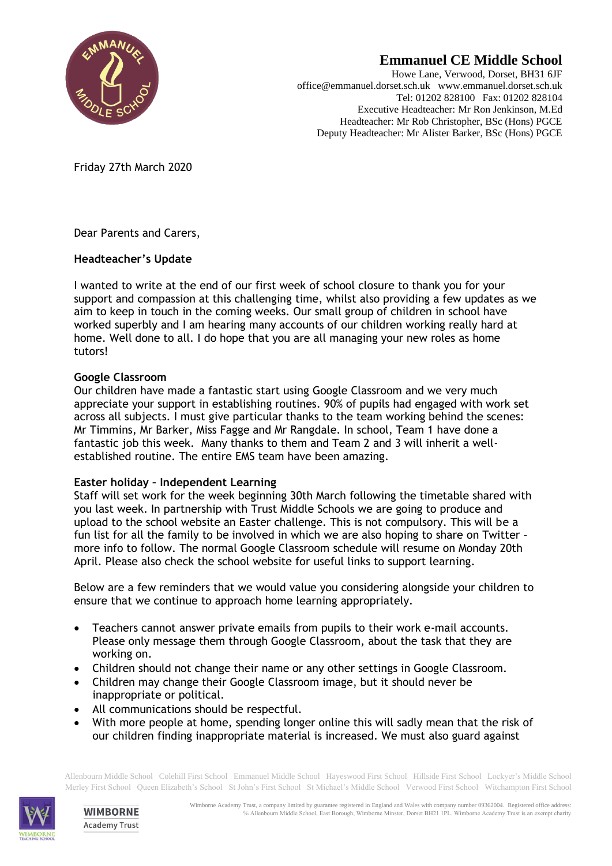

# **Emmanuel CE Middle School**

Howe Lane, Verwood, Dorset, BH31 6JF office@emmanuel.dorset.sch.uk www.emmanuel.dorset.sch.uk Tel: 01202 828100 Fax: 01202 828104 Executive Headteacher: Mr Ron Jenkinson, M.Ed Headteacher: Mr Rob Christopher, BSc (Hons) PGCE Deputy Headteacher: Mr Alister Barker, BSc (Hons) PGCE

Friday 27th March 2020

Dear Parents and Carers,

## **Headteacher's Update**

I wanted to write at the end of our first week of school closure to thank you for your support and compassion at this challenging time, whilst also providing a few updates as we aim to keep in touch in the coming weeks. Our small group of children in school have worked superbly and I am hearing many accounts of our children working really hard at home. Well done to all. I do hope that you are all managing your new roles as home tutors!

## **Google Classroom**

Our children have made a fantastic start using Google Classroom and we very much appreciate your support in establishing routines. 90% of pupils had engaged with work set across all subjects. I must give particular thanks to the team working behind the scenes: Mr Timmins, Mr Barker, Miss Fagge and Mr Rangdale. In school, Team 1 have done a fantastic job this week. Many thanks to them and Team 2 and 3 will inherit a wellestablished routine. The entire EMS team have been amazing.

#### **Easter holiday – Independent Learning**

Staff will set work for the week beginning 30th March following the timetable shared with you last week. In partnership with Trust Middle Schools we are going to produce and upload to the school website an Easter challenge. This is not compulsory. This will be a fun list for all the family to be involved in which we are also hoping to share on Twitter – more info to follow. The normal Google Classroom schedule will resume on Monday 20th April. Please also check the school website for useful links to support learning.

Below are a few reminders that we would value you considering alongside your children to ensure that we continue to approach home learning appropriately.

- Teachers cannot answer private emails from pupils to their work e-mail accounts. Please only message them through Google Classroom, about the task that they are working on.
- Children should not change their name or any other settings in Google Classroom.
- Children may change their Google Classroom image, but it should never be inappropriate or political.
- All communications should be respectful.
- With more people at home, spending longer online this will sadly mean that the risk of our children finding inappropriate material is increased. We must also guard against

Allenbourn Middle School Colehill First School Emmanuel Middle School Hayeswood First School Hillside First School Lockyer's Middle School Merley First School Queen Elizabeth's School St John's First School St Michael's Middle School Verwood First School Witchampton First School